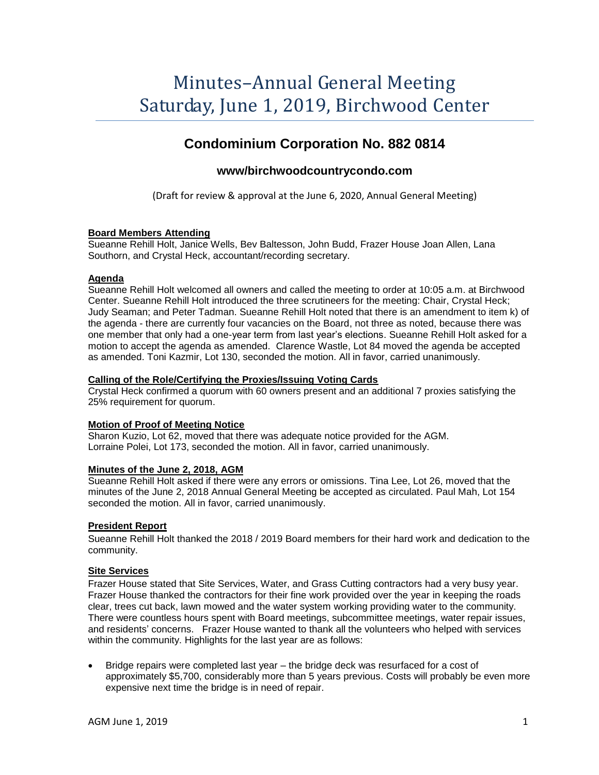# Minutes–Annual General Meeting Saturday, June 1, 2019, Birchwood Center

# **Condominium Corporation No. 882 0814**

## **www/birchwoodcountrycondo.com**

(Draft for review & approval at the June 6, 2020, Annual General Meeting)

#### **Board Members Attending**

Sueanne Rehill Holt, Janice Wells, Bev Baltesson, John Budd, Frazer House Joan Allen, Lana Southorn, and Crystal Heck, accountant/recording secretary.

#### **Agenda**

Sueanne Rehill Holt welcomed all owners and called the meeting to order at 10:05 a.m. at Birchwood Center. Sueanne Rehill Holt introduced the three scrutineers for the meeting: Chair, Crystal Heck; Judy Seaman; and Peter Tadman. Sueanne Rehill Holt noted that there is an amendment to item k) of the agenda - there are currently four vacancies on the Board, not three as noted, because there was one member that only had a one-year term from last year's elections. Sueanne Rehill Holt asked for a motion to accept the agenda as amended. Clarence Wastle, Lot 84 moved the agenda be accepted as amended. Toni Kazmir, Lot 130, seconded the motion. All in favor, carried unanimously.

#### **Calling of the Role/Certifying the Proxies/Issuing Voting Cards**

Crystal Heck confirmed a quorum with 60 owners present and an additional 7 proxies satisfying the 25% requirement for quorum.

#### **Motion of Proof of Meeting Notice**

Sharon Kuzio, Lot 62, moved that there was adequate notice provided for the AGM. Lorraine Polei, Lot 173, seconded the motion. All in favor, carried unanimously.

#### **Minutes of the June 2, 2018, AGM**

Sueanne Rehill Holt asked if there were any errors or omissions. Tina Lee, Lot 26, moved that the minutes of the June 2, 2018 Annual General Meeting be accepted as circulated. Paul Mah, Lot 154 seconded the motion. All in favor, carried unanimously.

#### **President Report**

Sueanne Rehill Holt thanked the 2018 / 2019 Board members for their hard work and dedication to the community.

#### **Site Services**

Frazer House stated that Site Services, Water, and Grass Cutting contractors had a very busy year. Frazer House thanked the contractors for their fine work provided over the year in keeping the roads clear, trees cut back, lawn mowed and the water system working providing water to the community. There were countless hours spent with Board meetings, subcommittee meetings, water repair issues, and residents' concerns. Frazer House wanted to thank all the volunteers who helped with services within the community. Highlights for the last year are as follows:

• Bridge repairs were completed last year – the bridge deck was resurfaced for a cost of approximately \$5,700, considerably more than 5 years previous. Costs will probably be even more expensive next time the bridge is in need of repair.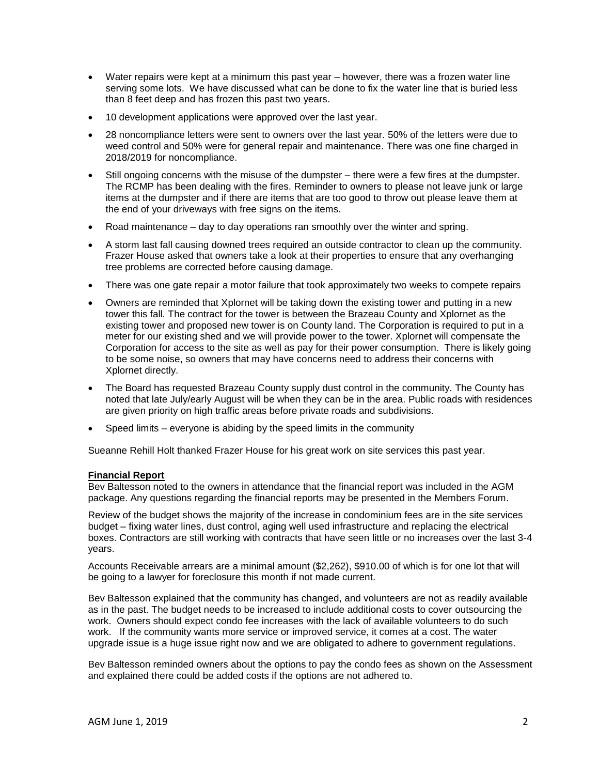- Water repairs were kept at a minimum this past year however, there was a frozen water line serving some lots. We have discussed what can be done to fix the water line that is buried less than 8 feet deep and has frozen this past two years.
- 10 development applications were approved over the last year.
- 28 noncompliance letters were sent to owners over the last year. 50% of the letters were due to weed control and 50% were for general repair and maintenance. There was one fine charged in 2018/2019 for noncompliance.
- Still ongoing concerns with the misuse of the dumpster there were a few fires at the dumpster. The RCMP has been dealing with the fires. Reminder to owners to please not leave junk or large items at the dumpster and if there are items that are too good to throw out please leave them at the end of your driveways with free signs on the items.
- Road maintenance day to day operations ran smoothly over the winter and spring.
- A storm last fall causing downed trees required an outside contractor to clean up the community. Frazer House asked that owners take a look at their properties to ensure that any overhanging tree problems are corrected before causing damage.
- There was one gate repair a motor failure that took approximately two weeks to compete repairs
- Owners are reminded that Xplornet will be taking down the existing tower and putting in a new tower this fall. The contract for the tower is between the Brazeau County and Xplornet as the existing tower and proposed new tower is on County land. The Corporation is required to put in a meter for our existing shed and we will provide power to the tower. Xplornet will compensate the Corporation for access to the site as well as pay for their power consumption. There is likely going to be some noise, so owners that may have concerns need to address their concerns with Xplornet directly.
- The Board has requested Brazeau County supply dust control in the community. The County has noted that late July/early August will be when they can be in the area. Public roads with residences are given priority on high traffic areas before private roads and subdivisions.
- Speed limits everyone is abiding by the speed limits in the community

Sueanne Rehill Holt thanked Frazer House for his great work on site services this past year.

#### **Financial Report**

Bev Baltesson noted to the owners in attendance that the financial report was included in the AGM package. Any questions regarding the financial reports may be presented in the Members Forum.

Review of the budget shows the majority of the increase in condominium fees are in the site services budget – fixing water lines, dust control, aging well used infrastructure and replacing the electrical boxes. Contractors are still working with contracts that have seen little or no increases over the last 3-4 years.

Accounts Receivable arrears are a minimal amount (\$2,262), \$910.00 of which is for one lot that will be going to a lawyer for foreclosure this month if not made current.

Bev Baltesson explained that the community has changed, and volunteers are not as readily available as in the past. The budget needs to be increased to include additional costs to cover outsourcing the work. Owners should expect condo fee increases with the lack of available volunteers to do such work. If the community wants more service or improved service, it comes at a cost. The water upgrade issue is a huge issue right now and we are obligated to adhere to government regulations.

Bev Baltesson reminded owners about the options to pay the condo fees as shown on the Assessment and explained there could be added costs if the options are not adhered to.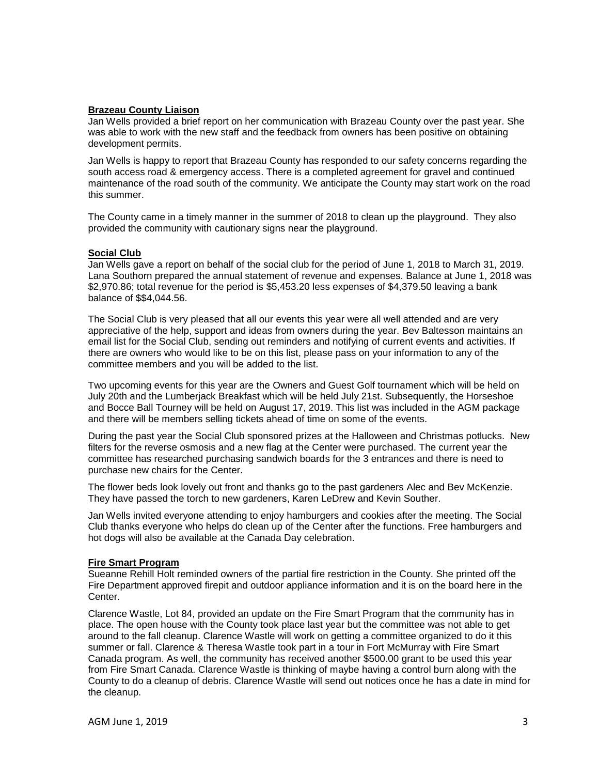#### **Brazeau County Liaison**

Jan Wells provided a brief report on her communication with Brazeau County over the past year. She was able to work with the new staff and the feedback from owners has been positive on obtaining development permits.

Jan Wells is happy to report that Brazeau County has responded to our safety concerns regarding the south access road & emergency access. There is a completed agreement for gravel and continued maintenance of the road south of the community. We anticipate the County may start work on the road this summer.

The County came in a timely manner in the summer of 2018 to clean up the playground. They also provided the community with cautionary signs near the playground.

#### **Social Club**

Jan Wells gave a report on behalf of the social club for the period of June 1, 2018 to March 31, 2019. Lana Southorn prepared the annual statement of revenue and expenses. Balance at June 1, 2018 was \$2,970.86; total revenue for the period is \$5,453.20 less expenses of \$4,379.50 leaving a bank balance of \$\$4,044.56.

The Social Club is very pleased that all our events this year were all well attended and are very appreciative of the help, support and ideas from owners during the year. Bev Baltesson maintains an email list for the Social Club, sending out reminders and notifying of current events and activities. If there are owners who would like to be on this list, please pass on your information to any of the committee members and you will be added to the list.

Two upcoming events for this year are the Owners and Guest Golf tournament which will be held on July 20th and the Lumberjack Breakfast which will be held July 21st. Subsequently, the Horseshoe and Bocce Ball Tourney will be held on August 17, 2019. This list was included in the AGM package and there will be members selling tickets ahead of time on some of the events.

During the past year the Social Club sponsored prizes at the Halloween and Christmas potlucks. New filters for the reverse osmosis and a new flag at the Center were purchased. The current year the committee has researched purchasing sandwich boards for the 3 entrances and there is need to purchase new chairs for the Center.

The flower beds look lovely out front and thanks go to the past gardeners Alec and Bev McKenzie. They have passed the torch to new gardeners, Karen LeDrew and Kevin Souther.

Jan Wells invited everyone attending to enjoy hamburgers and cookies after the meeting. The Social Club thanks everyone who helps do clean up of the Center after the functions. Free hamburgers and hot dogs will also be available at the Canada Day celebration.

#### **Fire Smart Program**

Sueanne Rehill Holt reminded owners of the partial fire restriction in the County. She printed off the Fire Department approved firepit and outdoor appliance information and it is on the board here in the Center.

Clarence Wastle, Lot 84, provided an update on the Fire Smart Program that the community has in place. The open house with the County took place last year but the committee was not able to get around to the fall cleanup. Clarence Wastle will work on getting a committee organized to do it this summer or fall. Clarence & Theresa Wastle took part in a tour in Fort McMurray with Fire Smart Canada program. As well, the community has received another \$500.00 grant to be used this year from Fire Smart Canada. Clarence Wastle is thinking of maybe having a control burn along with the County to do a cleanup of debris. Clarence Wastle will send out notices once he has a date in mind for the cleanup.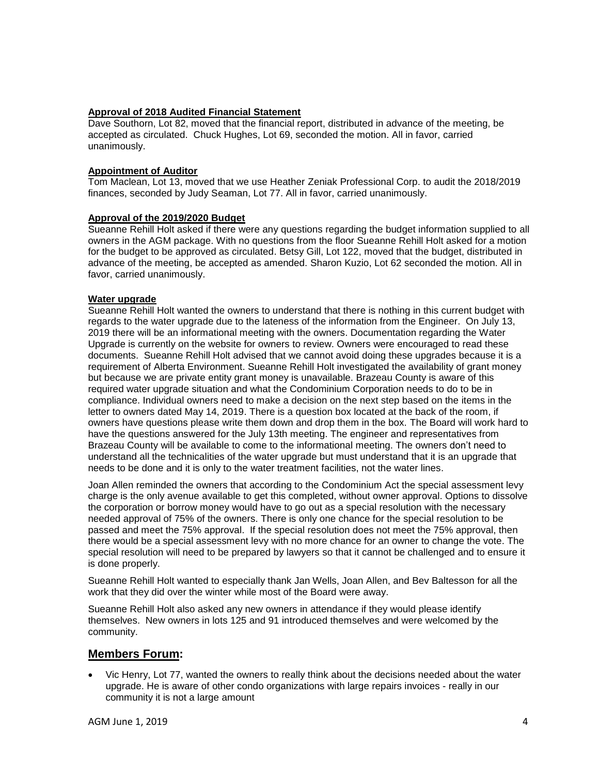#### **Approval of 2018 Audited Financial Statement**

Dave Southorn, Lot 82, moved that the financial report, distributed in advance of the meeting, be accepted as circulated. Chuck Hughes, Lot 69, seconded the motion. All in favor, carried unanimously.

#### **Appointment of Auditor**

Tom Maclean, Lot 13, moved that we use Heather Zeniak Professional Corp. to audit the 2018/2019 finances, seconded by Judy Seaman, Lot 77. All in favor, carried unanimously.

#### **Approval of the 2019/2020 Budget**

Sueanne Rehill Holt asked if there were any questions regarding the budget information supplied to all owners in the AGM package. With no questions from the floor Sueanne Rehill Holt asked for a motion for the budget to be approved as circulated. Betsy Gill, Lot 122, moved that the budget, distributed in advance of the meeting, be accepted as amended. Sharon Kuzio, Lot 62 seconded the motion. All in favor, carried unanimously.

#### **Water upgrade**

Sueanne Rehill Holt wanted the owners to understand that there is nothing in this current budget with regards to the water upgrade due to the lateness of the information from the Engineer. On July 13, 2019 there will be an informational meeting with the owners. Documentation regarding the Water Upgrade is currently on the website for owners to review. Owners were encouraged to read these documents. Sueanne Rehill Holt advised that we cannot avoid doing these upgrades because it is a requirement of Alberta Environment. Sueanne Rehill Holt investigated the availability of grant money but because we are private entity grant money is unavailable. Brazeau County is aware of this required water upgrade situation and what the Condominium Corporation needs to do to be in compliance. Individual owners need to make a decision on the next step based on the items in the letter to owners dated May 14, 2019. There is a question box located at the back of the room, if owners have questions please write them down and drop them in the box. The Board will work hard to have the questions answered for the July 13th meeting. The engineer and representatives from Brazeau County will be available to come to the informational meeting. The owners don't need to understand all the technicalities of the water upgrade but must understand that it is an upgrade that needs to be done and it is only to the water treatment facilities, not the water lines.

Joan Allen reminded the owners that according to the Condominium Act the special assessment levy charge is the only avenue available to get this completed, without owner approval. Options to dissolve the corporation or borrow money would have to go out as a special resolution with the necessary needed approval of 75% of the owners. There is only one chance for the special resolution to be passed and meet the 75% approval. If the special resolution does not meet the 75% approval, then there would be a special assessment levy with no more chance for an owner to change the vote. The special resolution will need to be prepared by lawyers so that it cannot be challenged and to ensure it is done properly.

Sueanne Rehill Holt wanted to especially thank Jan Wells, Joan Allen, and Bev Baltesson for all the work that they did over the winter while most of the Board were away.

Sueanne Rehill Holt also asked any new owners in attendance if they would please identify themselves. New owners in lots 125 and 91 introduced themselves and were welcomed by the community.

### **Members Forum:**

• Vic Henry, Lot 77, wanted the owners to really think about the decisions needed about the water upgrade. He is aware of other condo organizations with large repairs invoices - really in our community it is not a large amount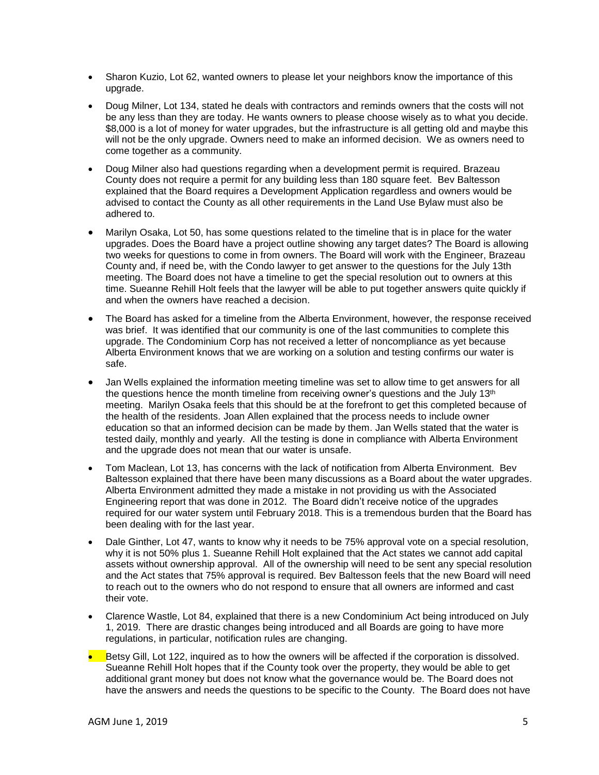- Sharon Kuzio, Lot 62, wanted owners to please let your neighbors know the importance of this upgrade.
- Doug Milner, Lot 134, stated he deals with contractors and reminds owners that the costs will not be any less than they are today. He wants owners to please choose wisely as to what you decide. \$8,000 is a lot of money for water upgrades, but the infrastructure is all getting old and maybe this will not be the only upgrade. Owners need to make an informed decision. We as owners need to come together as a community.
- Doug Milner also had questions regarding when a development permit is required. Brazeau County does not require a permit for any building less than 180 square feet. Bev Baltesson explained that the Board requires a Development Application regardless and owners would be advised to contact the County as all other requirements in the Land Use Bylaw must also be adhered to.
- Marilyn Osaka, Lot 50, has some questions related to the timeline that is in place for the water upgrades. Does the Board have a project outline showing any target dates? The Board is allowing two weeks for questions to come in from owners. The Board will work with the Engineer, Brazeau County and, if need be, with the Condo lawyer to get answer to the questions for the July 13th meeting. The Board does not have a timeline to get the special resolution out to owners at this time. Sueanne Rehill Holt feels that the lawyer will be able to put together answers quite quickly if and when the owners have reached a decision.
- The Board has asked for a timeline from the Alberta Environment, however, the response received was brief. It was identified that our community is one of the last communities to complete this upgrade. The Condominium Corp has not received a letter of noncompliance as yet because Alberta Environment knows that we are working on a solution and testing confirms our water is safe.
- Jan Wells explained the information meeting timeline was set to allow time to get answers for all the questions hence the month timeline from receiving owner's questions and the July  $13<sup>th</sup>$ meeting. Marilyn Osaka feels that this should be at the forefront to get this completed because of the health of the residents. Joan Allen explained that the process needs to include owner education so that an informed decision can be made by them. Jan Wells stated that the water is tested daily, monthly and yearly. All the testing is done in compliance with Alberta Environment and the upgrade does not mean that our water is unsafe.
- Tom Maclean, Lot 13, has concerns with the lack of notification from Alberta Environment. Bev Baltesson explained that there have been many discussions as a Board about the water upgrades. Alberta Environment admitted they made a mistake in not providing us with the Associated Engineering report that was done in 2012. The Board didn't receive notice of the upgrades required for our water system until February 2018. This is a tremendous burden that the Board has been dealing with for the last year.
- Dale Ginther, Lot 47, wants to know why it needs to be 75% approval vote on a special resolution, why it is not 50% plus 1. Sueanne Rehill Holt explained that the Act states we cannot add capital assets without ownership approval. All of the ownership will need to be sent any special resolution and the Act states that 75% approval is required. Bev Baltesson feels that the new Board will need to reach out to the owners who do not respond to ensure that all owners are informed and cast their vote.
- Clarence Wastle, Lot 84, explained that there is a new Condominium Act being introduced on July 1, 2019. There are drastic changes being introduced and all Boards are going to have more regulations, in particular, notification rules are changing.
- Betsy Gill, Lot 122, inquired as to how the owners will be affected if the corporation is dissolved. Sueanne Rehill Holt hopes that if the County took over the property, they would be able to get additional grant money but does not know what the governance would be. The Board does not have the answers and needs the questions to be specific to the County. The Board does not have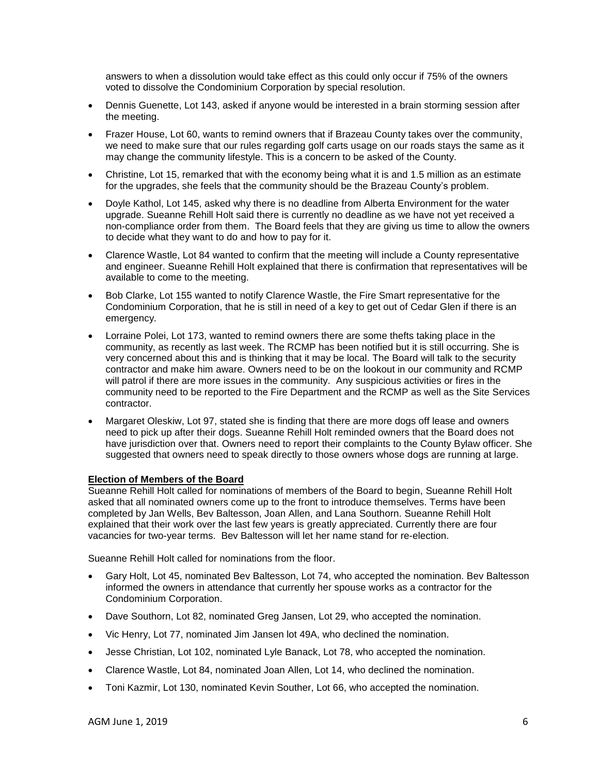answers to when a dissolution would take effect as this could only occur if 75% of the owners voted to dissolve the Condominium Corporation by special resolution.

- Dennis Guenette, Lot 143, asked if anyone would be interested in a brain storming session after the meeting.
- Frazer House, Lot 60, wants to remind owners that if Brazeau County takes over the community, we need to make sure that our rules regarding golf carts usage on our roads stays the same as it may change the community lifestyle. This is a concern to be asked of the County.
- Christine, Lot 15, remarked that with the economy being what it is and 1.5 million as an estimate for the upgrades, she feels that the community should be the Brazeau County's problem.
- Doyle Kathol, Lot 145, asked why there is no deadline from Alberta Environment for the water upgrade. Sueanne Rehill Holt said there is currently no deadline as we have not yet received a non-compliance order from them. The Board feels that they are giving us time to allow the owners to decide what they want to do and how to pay for it.
- Clarence Wastle, Lot 84 wanted to confirm that the meeting will include a County representative and engineer. Sueanne Rehill Holt explained that there is confirmation that representatives will be available to come to the meeting.
- Bob Clarke, Lot 155 wanted to notify Clarence Wastle, the Fire Smart representative for the Condominium Corporation, that he is still in need of a key to get out of Cedar Glen if there is an emergency.
- Lorraine Polei, Lot 173, wanted to remind owners there are some thefts taking place in the community, as recently as last week. The RCMP has been notified but it is still occurring. She is very concerned about this and is thinking that it may be local. The Board will talk to the security contractor and make him aware. Owners need to be on the lookout in our community and RCMP will patrol if there are more issues in the community. Any suspicious activities or fires in the community need to be reported to the Fire Department and the RCMP as well as the Site Services contractor.
- Margaret Oleskiw, Lot 97, stated she is finding that there are more dogs off lease and owners need to pick up after their dogs. Sueanne Rehill Holt reminded owners that the Board does not have jurisdiction over that. Owners need to report their complaints to the County Bylaw officer. She suggested that owners need to speak directly to those owners whose dogs are running at large.

#### **Election of Members of the Board**

Sueanne Rehill Holt called for nominations of members of the Board to begin, Sueanne Rehill Holt asked that all nominated owners come up to the front to introduce themselves. Terms have been completed by Jan Wells, Bev Baltesson, Joan Allen, and Lana Southorn. Sueanne Rehill Holt explained that their work over the last few years is greatly appreciated. Currently there are four vacancies for two-year terms. Bev Baltesson will let her name stand for re-election.

Sueanne Rehill Holt called for nominations from the floor.

- Gary Holt, Lot 45, nominated Bev Baltesson, Lot 74, who accepted the nomination. Bev Baltesson informed the owners in attendance that currently her spouse works as a contractor for the Condominium Corporation.
- Dave Southorn, Lot 82, nominated Greg Jansen, Lot 29, who accepted the nomination.
- Vic Henry, Lot 77, nominated Jim Jansen lot 49A, who declined the nomination.
- Jesse Christian, Lot 102, nominated Lyle Banack, Lot 78, who accepted the nomination.
- Clarence Wastle, Lot 84, nominated Joan Allen, Lot 14, who declined the nomination.
- Toni Kazmir, Lot 130, nominated Kevin Souther, Lot 66, who accepted the nomination.